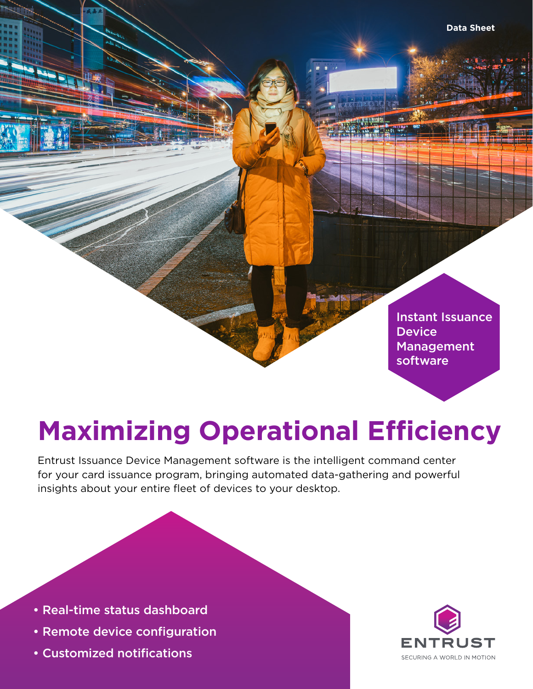Instant Issuance **Device** Management software

# **Maximizing Operational Efficiency**

Entrust Issuance Device Management software is the intelligent command center for your card issuance program, bringing automated data-gathering and powerful insights about your entire fleet of devices to your desktop.

- Real-time status dashboard
- Remote device configuration
- Customized notifications

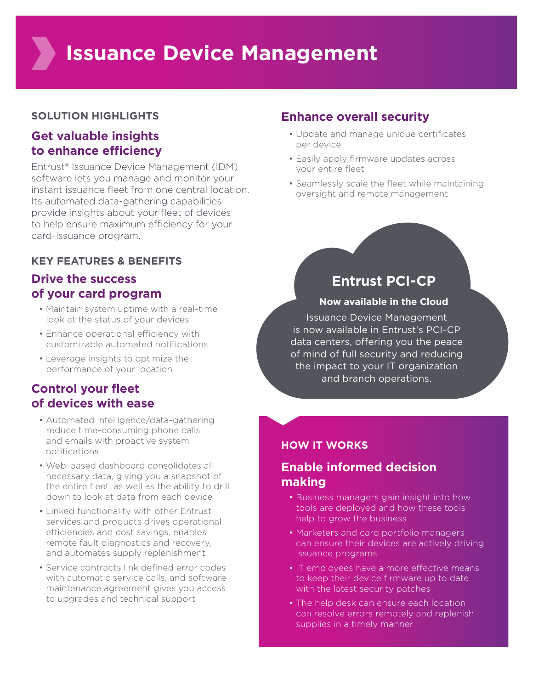## **SOLUTION HIGHLIGHTS**

# **Get valuable insights to enhance efficiency**

Entrust® Issuance Device Management (IDM) software lets you manage and monitor your instant issuance fleet from one central location. Its automated data-gathering capabilities provide insights about your fleet of devices to help ensure maximum efficiency for your card-issuance program.

## **KEY FEATURES & BENEFITS**

# **Drive the success of your card program**

- Maintain system uptime with a real-time look at the status of your devices
- Enhance operational efficiency with customizable automated notifications
- Leverage insights to optimize the performance of your location

# **Control your fleet of devices with ease**

- Automated intelligence/data-gathering reduce time-consuming phone calls and emails with proactive system notifications
- Web-based dashboard consolidates all necessary data, giving you a snapshot of the entire fleet, as well as the ability to drill down to look at data from each device
- Linked functionality with other Entrust services and products drives operational efficiencies and cost savings, enables remote fault diagnostics and recovery, and automates supply replenishment
- Service contracts link defined error codes with automatic service calls, and software maintenance agreement gives you access to upgrades and technical support

# **Enhance overall security**

- Update and manage unique certificates per device
- Easily apply firmware updates across your entire fleet
- Seamlessly scale the fleet while maintaining oversight and remote management

# **Entrust PCI-CP**

### **Now available in the Cloud**

Issuance Device Management is now available in Entrust's PCI-CP data centers, offering you the peace of mind of full security and reducing the impact to your IT organization and branch operations.

## **HOW IT WORKS**

## **Enable informed decision making**

- Business managers gain insight into how tools are deployed and how these tools help to grow the business
- Marketers and card portfolio managers can ensure their devices are actively driving issuance programs
- IT employees have a more effective means to keep their device firmware up to date with the latest security patches
- The help desk can ensure each location can resolve errors remotely and replenish supplies in a timely manner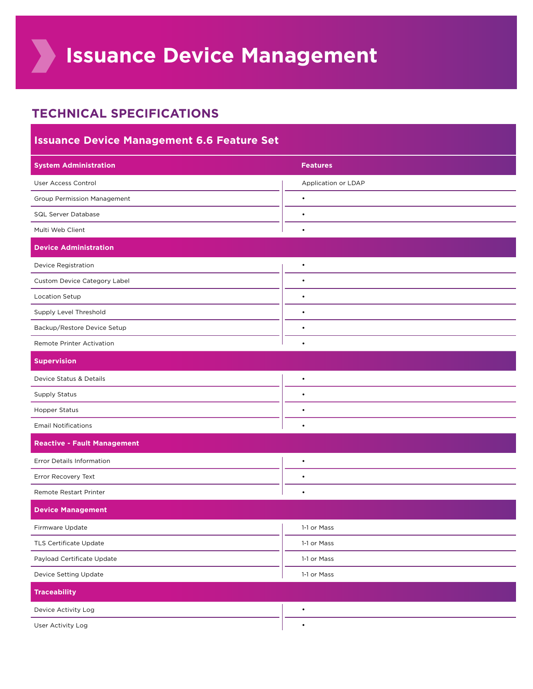**Issuance Device Management**

# **TECHNICAL SPECIFICATIONS**

| <b>Issuance Device Management 6.6 Feature Set</b> |                     |
|---------------------------------------------------|---------------------|
| <b>System Administration</b>                      | <b>Features</b>     |
| User Access Control                               | Application or LDAP |
| <b>Group Permission Management</b>                | $\bullet$           |
| <b>SQL Server Database</b>                        | $\bullet$           |
| Multi Web Client                                  | $\bullet$           |
| <b>Device Administration</b>                      |                     |
| <b>Device Registration</b>                        | $\bullet$           |
| Custom Device Category Label                      | $\bullet$           |
| <b>Location Setup</b>                             | $\bullet$           |
| Supply Level Threshold                            | $\bullet$           |
| Backup/Restore Device Setup                       | $\bullet$           |
| Remote Printer Activation                         | $\bullet$           |
| <b>Supervision</b>                                |                     |
| Device Status & Details                           | $\bullet$           |
| <b>Supply Status</b>                              | $\bullet$           |
| <b>Hopper Status</b>                              | $\bullet$           |
| <b>Email Notifications</b>                        | $\bullet$           |
| <b>Reactive - Fault Management</b>                |                     |
| Error Details Information                         | $\bullet$           |
| Error Recovery Text                               | $\bullet$           |
| Remote Restart Printer                            | $\bullet$           |
| <b>Device Management</b>                          |                     |
| Firmware Update                                   | 1-1 or Mass         |
| TLS Certificate Update                            | 1-1 or Mass         |
| Payload Certificate Update                        | 1-1 or Mass         |
| Device Setting Update                             | 1-1 or Mass         |
| <b>Traceability</b>                               |                     |
| Device Activity Log                               | $\bullet$           |
| User Activity Log                                 | $\bullet$           |